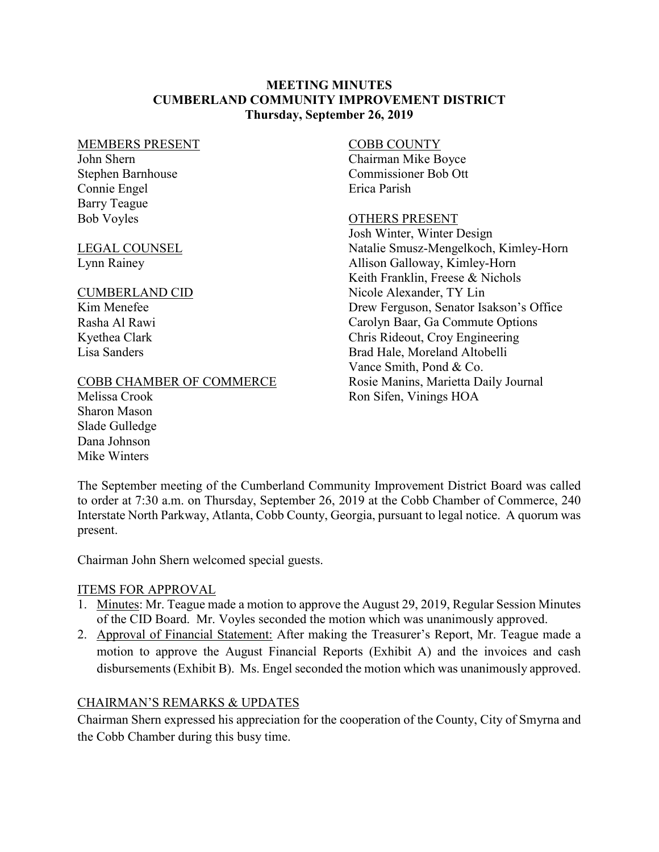### **MEETING MINUTES CUMBERLAND COMMUNITY IMPROVEMENT DISTRICT Thursday, September 26, 2019**

#### MEMBERS PRESENT

John Shern Stephen Barnhouse Connie Engel Barry Teague Bob Voyles

#### LEGAL COUNSEL Lynn Rainey

#### CUMBERLAND CID

Kim Menefee Rasha Al Rawi Kyethea Clark Lisa Sanders

### COBB CHAMBER OF COMMERCE

Melissa Crook Sharon Mason Slade Gulledge Dana Johnson Mike Winters

### COBB COUNTY

Chairman Mike Boyce Commissioner Bob Ott Erica Parish

### OTHERS PRESENT

Josh Winter, Winter Design Natalie Smusz-Mengelkoch, Kimley-Horn Allison Galloway, Kimley-Horn Keith Franklin, Freese & Nichols Nicole Alexander, TY Lin Drew Ferguson, Senator Isakson's Office Carolyn Baar, Ga Commute Options Chris Rideout, Croy Engineering Brad Hale, Moreland Altobelli Vance Smith, Pond & Co. Rosie Manins, Marietta Daily Journal Ron Sifen, Vinings HOA

The September meeting of the Cumberland Community Improvement District Board was called to order at 7:30 a.m. on Thursday, September 26, 2019 at the Cobb Chamber of Commerce, 240 Interstate North Parkway, Atlanta, Cobb County, Georgia, pursuant to legal notice. A quorum was present.

Chairman John Shern welcomed special guests.

### ITEMS FOR APPROVAL

- 1. Minutes: Mr. Teague made a motion to approve the August 29, 2019, Regular Session Minutes of the CID Board. Mr. Voyles seconded the motion which was unanimously approved.
- 2. Approval of Financial Statement: After making the Treasurer's Report, Mr. Teague made a motion to approve the August Financial Reports (Exhibit A) and the invoices and cash disbursements (Exhibit B). Ms. Engel seconded the motion which was unanimously approved.

## CHAIRMAN'S REMARKS & UPDATES

Chairman Shern expressed his appreciation for the cooperation of the County, City of Smyrna and the Cobb Chamber during this busy time.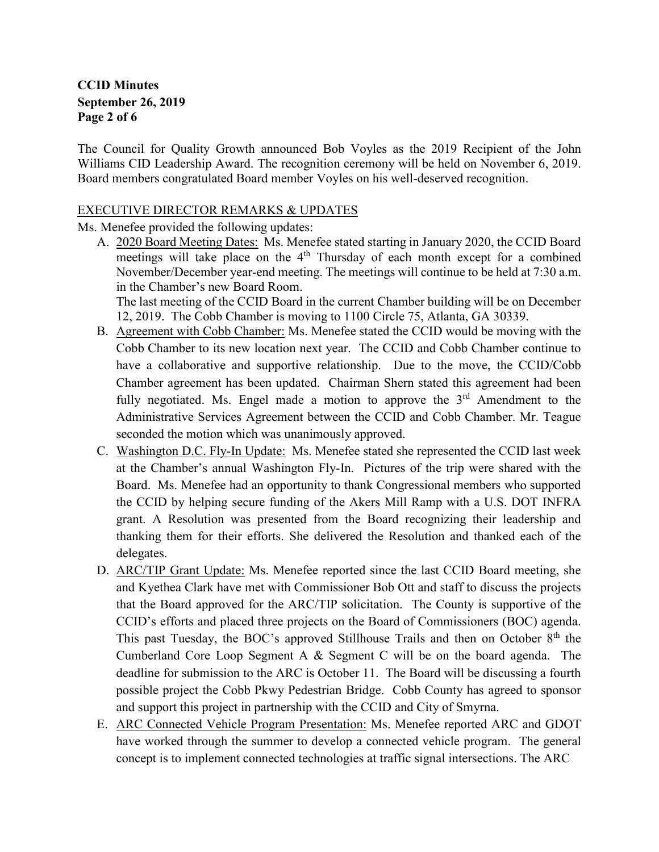## **CCID Minutes September 26, 2019 Page 2 of 6**

The Council for Quality Growth announced Bob Voyles as the 2019 Recipient of the John Williams CID Leadership Award. The recognition ceremony will be held on November 6, 2019. Board members congratulated Board member Voyles on his well-deserved recognition.

#### EXECUTIVE DIRECTOR REMARKS & UPDATES

Ms. Menefee provided the following updates:

A. 2020 Board Meeting Dates: Ms. Menefee stated starting in January 2020, the CCID Board meetings will take place on the  $4<sup>th</sup>$  Thursday of each month except for a combined November/December year-end meeting. The meetings will continue to be held at 7:30 a.m. in the Chamber's new Board Room.

The last meeting of the CCID Board in the current Chamber building will be on December 12, 2019. The Cobb Chamber is moving to 1100 Circle 75, Atlanta, GA 30339.

- B. Agreement with Cobb Chamber: Ms. Menefee stated the CCID would be moving with the Cobb Chamber to its new location next year. The CCID and Cobb Chamber continue to have a collaborative and supportive relationship. Due to the move, the CCID/Cobb Chamber agreement has been updated. Chairman Shern stated this agreement had been fully negotiated. Ms. Engel made a motion to approve the  $3<sup>rd</sup>$  Amendment to the Administrative Services Agreement between the CCID and Cobb Chamber. Mr. Teague seconded the motion which was unanimously approved.
- C. Washington D.C. Fly-In Update: Ms. Menefee stated she represented the CCID last week at the Chamber's annual Washington Fly-In. Pictures of the trip were shared with the Board. Ms. Menefee had an opportunity to thank Congressional members who supported the CCID by helping secure funding of the Akers Mill Ramp with a U.S. DOT INFRA grant. A Resolution was presented from the Board recognizing their leadership and thanking them for their efforts. She delivered the Resolution and thanked each of the delegates.
- D. ARC/TIP Grant Update: Ms. Menefee reported since the last CCID Board meeting, she and Kyethea Clark have met with Commissioner Bob Ott and staff to discuss the projects that the Board approved for the ARC/TIP solicitation. The County is supportive of the CCID's efforts and placed three projects on the Board of Commissioners (BOC) agenda. This past Tuesday, the BOC's approved Stillhouse Trails and then on October  $8<sup>th</sup>$  the Cumberland Core Loop Segment A & Segment C will be on the board agenda. The deadline for submission to the ARC is October 11. The Board will be discussing a fourth possible project the Cobb Pkwy Pedestrian Bridge. Cobb County has agreed to sponsor and support this project in partnership with the CCID and City of Smyrna.
- E. ARC Connected Vehicle Program Presentation: Ms. Menefee reported ARC and GDOT have worked through the summer to develop a connected vehicle program. The general concept is to implement connected technologies at traffic signal intersections. The ARC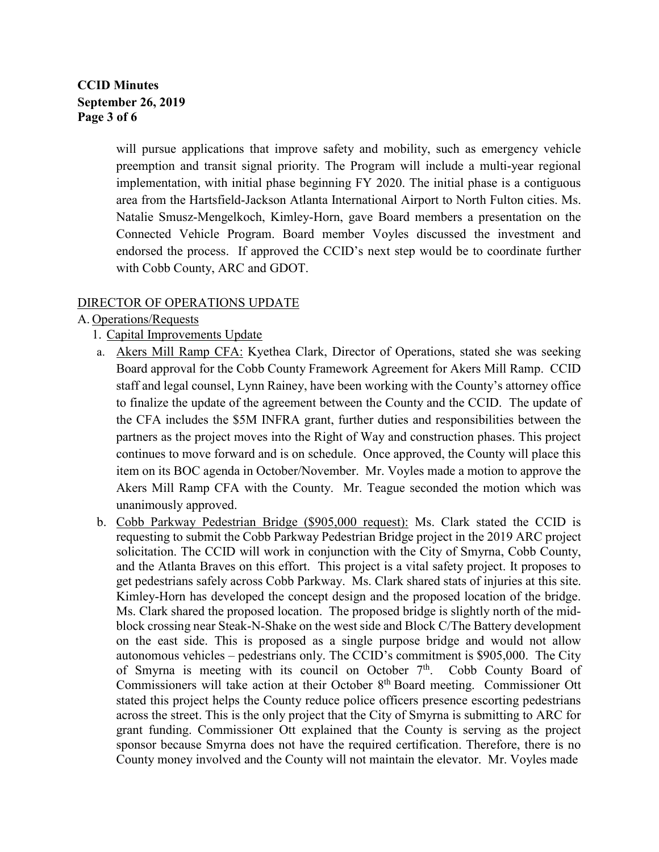# **CCID Minutes September 26, 2019 Page 3 of 6**

will pursue applications that improve safety and mobility, such as emergency vehicle preemption and transit signal priority. The Program will include a multi-year regional implementation, with initial phase beginning FY 2020. The initial phase is a contiguous area from the Hartsfield-Jackson Atlanta International Airport to North Fulton cities. Ms. Natalie Smusz-Mengelkoch, Kimley-Horn, gave Board members a presentation on the Connected Vehicle Program. Board member Voyles discussed the investment and endorsed the process. If approved the CCID's next step would be to coordinate further with Cobb County, ARC and GDOT.

### DIRECTOR OF OPERATIONS UPDATE

### A. Operations/Requests

- 1. Capital Improvements Update
- a. Akers Mill Ramp CFA: Kyethea Clark, Director of Operations, stated she was seeking Board approval for the Cobb County Framework Agreement for Akers Mill Ramp. CCID staff and legal counsel, Lynn Rainey, have been working with the County's attorney office to finalize the update of the agreement between the County and the CCID. The update of the CFA includes the \$5M INFRA grant, further duties and responsibilities between the partners as the project moves into the Right of Way and construction phases. This project continues to move forward and is on schedule. Once approved, the County will place this item on its BOC agenda in October/November. Mr. Voyles made a motion to approve the Akers Mill Ramp CFA with the County. Mr. Teague seconded the motion which was unanimously approved.
- b. Cobb Parkway Pedestrian Bridge (\$905,000 request): Ms. Clark stated the CCID is requesting to submit the Cobb Parkway Pedestrian Bridge project in the 2019 ARC project solicitation. The CCID will work in conjunction with the City of Smyrna, Cobb County, and the Atlanta Braves on this effort. This project is a vital safety project. It proposes to get pedestrians safely across Cobb Parkway. Ms. Clark shared stats of injuries at this site. Kimley-Horn has developed the concept design and the proposed location of the bridge. Ms. Clark shared the proposed location. The proposed bridge is slightly north of the midblock crossing near Steak-N-Shake on the west side and Block C/The Battery development on the east side. This is proposed as a single purpose bridge and would not allow autonomous vehicles – pedestrians only. The CCID's commitment is \$905,000. The City of Smyrna is meeting with its council on October 7<sup>th</sup>. Cobb County Board of Commissioners will take action at their October 8th Board meeting. Commissioner Ott stated this project helps the County reduce police officers presence escorting pedestrians across the street. This is the only project that the City of Smyrna is submitting to ARC for grant funding. Commissioner Ott explained that the County is serving as the project sponsor because Smyrna does not have the required certification. Therefore, there is no County money involved and the County will not maintain the elevator. Mr. Voyles made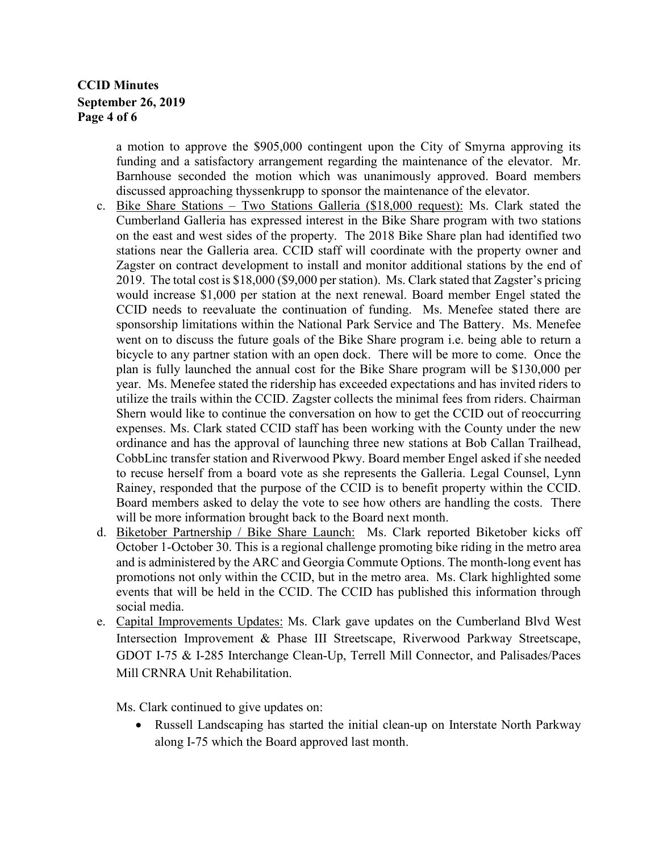## **CCID Minutes September 26, 2019 Page 4 of 6**

a motion to approve the \$905,000 contingent upon the City of Smyrna approving its funding and a satisfactory arrangement regarding the maintenance of the elevator. Mr. Barnhouse seconded the motion which was unanimously approved. Board members discussed approaching thyssenkrupp to sponsor the maintenance of the elevator.

- c. Bike Share Stations Two Stations Galleria (\$18,000 request): Ms. Clark stated the Cumberland Galleria has expressed interest in the Bike Share program with two stations on the east and west sides of the property. The 2018 Bike Share plan had identified two stations near the Galleria area. CCID staff will coordinate with the property owner and Zagster on contract development to install and monitor additional stations by the end of 2019. The total cost is \$18,000 (\$9,000 per station). Ms. Clark stated that Zagster's pricing would increase \$1,000 per station at the next renewal. Board member Engel stated the CCID needs to reevaluate the continuation of funding. Ms. Menefee stated there are sponsorship limitations within the National Park Service and The Battery. Ms. Menefee went on to discuss the future goals of the Bike Share program i.e. being able to return a bicycle to any partner station with an open dock. There will be more to come. Once the plan is fully launched the annual cost for the Bike Share program will be \$130,000 per year. Ms. Menefee stated the ridership has exceeded expectations and has invited riders to utilize the trails within the CCID. Zagster collects the minimal fees from riders. Chairman Shern would like to continue the conversation on how to get the CCID out of reoccurring expenses. Ms. Clark stated CCID staff has been working with the County under the new ordinance and has the approval of launching three new stations at Bob Callan Trailhead, CobbLinc transfer station and Riverwood Pkwy. Board member Engel asked if she needed to recuse herself from a board vote as she represents the Galleria. Legal Counsel, Lynn Rainey, responded that the purpose of the CCID is to benefit property within the CCID. Board members asked to delay the vote to see how others are handling the costs. There will be more information brought back to the Board next month.
- d. Biketober Partnership / Bike Share Launch: Ms. Clark reported Biketober kicks off October 1-October 30. This is a regional challenge promoting bike riding in the metro area and is administered by the ARC and Georgia Commute Options. The month-long event has promotions not only within the CCID, but in the metro area. Ms. Clark highlighted some events that will be held in the CCID. The CCID has published this information through social media.
- e. Capital Improvements Updates: Ms. Clark gave updates on the Cumberland Blvd West Intersection Improvement & Phase III Streetscape, Riverwood Parkway Streetscape, GDOT I-75 & I-285 Interchange Clean-Up, Terrell Mill Connector, and Palisades/Paces Mill CRNRA Unit Rehabilitation.

Ms. Clark continued to give updates on:

• Russell Landscaping has started the initial clean-up on Interstate North Parkway along I-75 which the Board approved last month.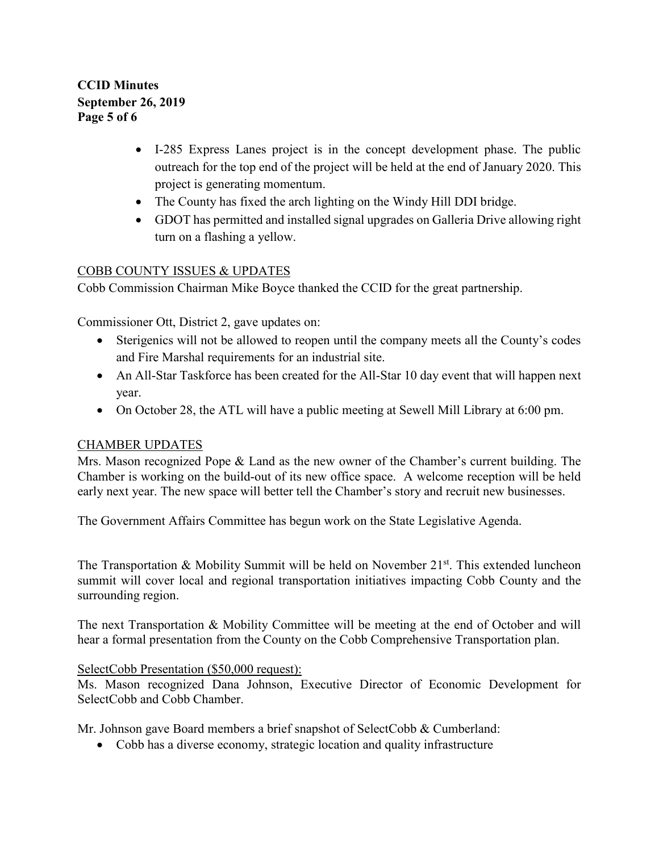**CCID Minutes September 26, 2019 Page 5 of 6**

- I-285 Express Lanes project is in the concept development phase. The public outreach for the top end of the project will be held at the end of January 2020. This project is generating momentum.
- The County has fixed the arch lighting on the Windy Hill DDI bridge.
- GDOT has permitted and installed signal upgrades on Galleria Drive allowing right turn on a flashing a yellow.

## COBB COUNTY ISSUES & UPDATES

Cobb Commission Chairman Mike Boyce thanked the CCID for the great partnership.

Commissioner Ott, District 2, gave updates on:

- Sterigenics will not be allowed to reopen until the company meets all the County's codes and Fire Marshal requirements for an industrial site.
- An All-Star Taskforce has been created for the All-Star 10 day event that will happen next year.
- On October 28, the ATL will have a public meeting at Sewell Mill Library at 6:00 pm.

### CHAMBER UPDATES

Mrs. Mason recognized Pope & Land as the new owner of the Chamber's current building. The Chamber is working on the build-out of its new office space. A welcome reception will be held early next year. The new space will better tell the Chamber's story and recruit new businesses.

The Government Affairs Committee has begun work on the State Legislative Agenda.

The Transportation & Mobility Summit will be held on November  $21^{st}$ . This extended luncheon summit will cover local and regional transportation initiatives impacting Cobb County and the surrounding region.

The next Transportation & Mobility Committee will be meeting at the end of October and will hear a formal presentation from the County on the Cobb Comprehensive Transportation plan.

### SelectCobb Presentation (\$50,000 request):

Ms. Mason recognized Dana Johnson, Executive Director of Economic Development for SelectCobb and Cobb Chamber.

Mr. Johnson gave Board members a brief snapshot of SelectCobb & Cumberland:

• Cobb has a diverse economy, strategic location and quality infrastructure